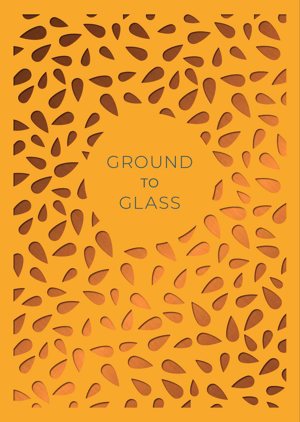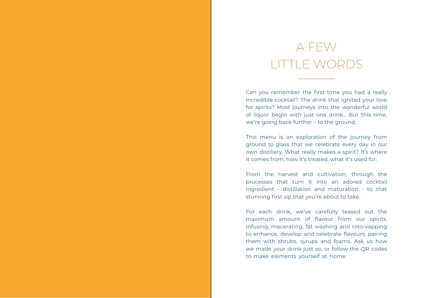# A FEW LITTLE WORDS

Can you remember the first time you had a really incredible cocktail? The drink that ignited your love for spirits? Most journeys into the wonderful world of liquor begin with just one drink… But this time, we're going back further – to the ground.

This menu is an exploration of the journey from ground to glass that we celebrate every day in our own distillery. What really makes a spirit? It's where it comes from, how it's treated, what it's used for.

From the harvest and cultivation, through the processes that turn it into an adored cocktail ingredient - distillation and maturation - to that stunning first sip that you're about to take.

For each drink, we've carefully teased out the maximum amount of flavour from our spirits. Infusing, macerating, fat washing and roto-vapping to enhance, develop and celebrate flavours; pairing them with shrubs, syrups and foams. Ask us how we made your drink just so, or follow the QR codes to make elements yourself at home.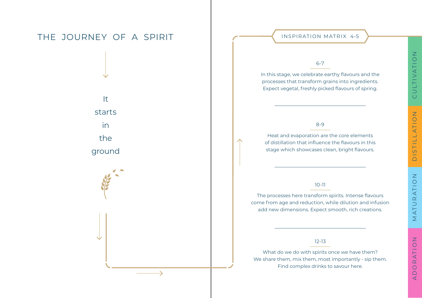## THE JOURNEY OF A SPIRIT IN CONTRATION MATRIX 4-5

It starts in the

ground

### 6-7

In this stage, we celebrate earthy flavours and the processes that transform grains into ingredients. Expect vegetal, freshly picked flavours of spring.

### 8-9

Heat and evaporation are the core elements of distillation that influence the flavours in this stage which showcases clean, bright flavours.

### 10-11

The processes here transform spirits. Intense flavours come from age and reduction, while dilution and infusion add new dimensions. Expect smooth, rich creations.

### 12-13

What do we do with spirits once we have them? We share them, mix them, most importantly - sip them. Find complex drinks to savour here.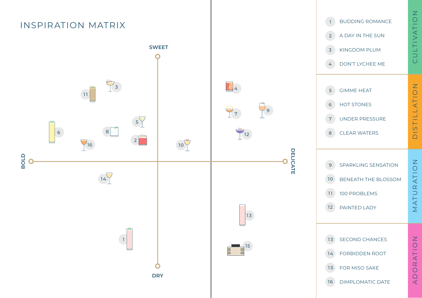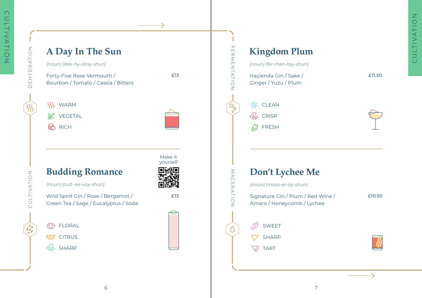ZOLTTANION DE MANAGEMENT DE DE HAN LIJDU

CULTIVATION

 $\sum_{i=1}^{n}$ 

EHYDRATION

ā

SS

## **A Day In The Sun**

*(noun) (dee-hy-dray-shun)*

Forty-Five Rose Vermouth / Bourbon / Tomato / Cassia / Bitters £13

FERMENTATION

FERMENTATION

 $\mathsf{O}_\mathbf{O}$ 

MACERATION

MACERATION

TART

FRESH

**SSS** WARM VEGETAL œ

**B** RICH



# Haçienda Gin / Sake / Ginger / Yuzu / Plum **※ CLEAN**  $\sqrt{\phi}$  CRISP **Kingdom Plum** *(noun) (fer-men-tay-shun)*

Signature Gin / Plum / Red Wine / Amaro / Honeycomb / Lychee **Don't Lychee Me** *(noun) (mass-er-ay-shun)* SWEET SHARP



£10.50

£11.50

CULTIVATION

CULTIVATION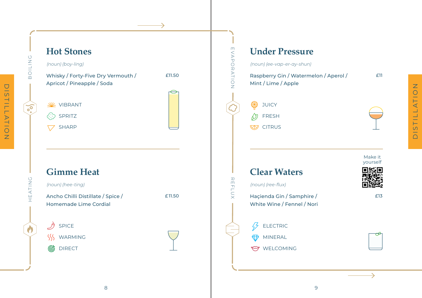

DISTILLATION

DISTILLATION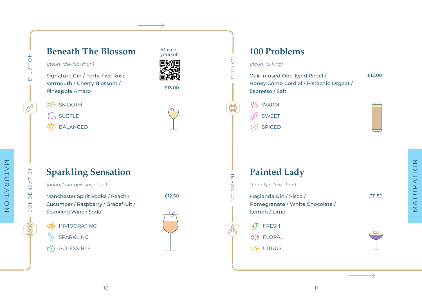## **Beneath The Blossom**

*(noun) (die-loo-shun)*

 $\leq$  SMOOTH SUBTLE **SP** BALANCED

Signature Gin / Forty-Five Rose Vermouth / Cherry Blossom / Pineapple Amaro **Elizabeth Pineapple Amaro** 

Make it yourself 回流回

NOILOTIC

# **Sparkling Sensation**

*(noun) (con-den-say-shun)*

Manchester Spirit Vodka / Peach / Cucumber / Raspberry / Grapefruit / Sparkling Wine / Soda

CONDENSATION

्<br>शिर् INVIGORATING

 $\circ_{\circ}$ SPARKLING

ACCESSIBLE



£12.50

## **100 Problems**

### *(noun) (o-king)*

OAKING

 $\bigoplus$ 

OAKING

INFUSION

్టిం

INFUSIO ż

Oak Infused One-Eyed Rebel / Honey Comb Cordial / Pistachio Orgeat / Espresso / Salt £12.00

- **SSS WARM** 
	- SWEET
- **SPICED**



# **Painted Lady**

*(noun) (in-few-shun)*

- Haçienda Gin / Pisco / Pomegranate / White Chocolate / Lemon / Lime
- ∞ FRESH **AB FLORAL**
- **CITRUS**

£11.50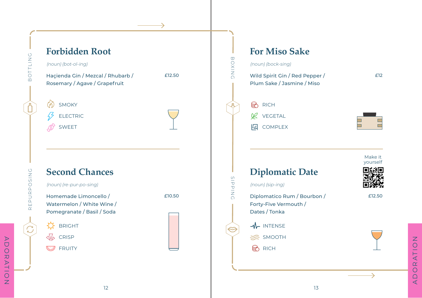

ORATION ADORATION $\overline{A}$ 

Make it yourself

£12

£12.50

12

ADORATION

ADORATION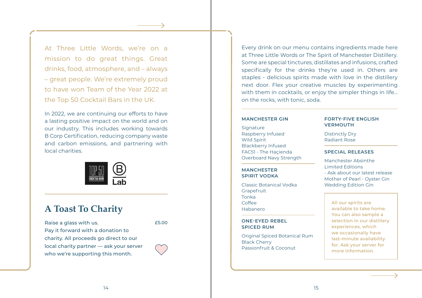At Three Little Words, we're on a mission to do great things. Great drinks, food, atmosphere, and – always – great people. We're extremely proud to have won Team of the Year 2022 at the Top 50 Cocktail Bars in the UK.

In 2022, we are continuing our efforts to have a lasting positive impact on the world and on our industry. This includes working towards B Corp Certification, reducing company waste and carbon emissions, and partnering with local charities.



### **A Toast To Charity**

Raise a glass with us. Pay it forward with a donation to charity. All proceeds go direct to our local charity partner — ask your server who we're supporting this month.

£5.00

Every drink on our menu contains ingredients made here at Three Little Words or The Spirit of Manchester Distillery. Some are special tinctures, distillates and infusions, crafted specifically for the drinks they're used in. Others are staples - delicious spirits made with love in the distillery next door. Flex your creative muscles by experimenting with them in cocktails, or enjoy the simpler things in life… on the rocks, with tonic, soda.

#### **MANCHESTER GIN**

Signature Raspberry Infused Wild Spirit Blackberry Infused FAC51 - The Haçienda Overboard Navy Strength

**MANCHESTER SPIRIT VODKA**

Classic Botanical Vodka Grapefruit Tonka Coffee Habanero

#### **ONE-EYED REBEL SPICED RUM**

Original Spiced Botanical Rum Black Cherry Passionfruit & Coconut

#### **FORTY-FIVE ENGLISH VERMOUTH**

Distinctly Dry Radiant Rose

#### **SPECIAL RELEASES**

Manchester Absinthe Limited Editions - Ask about our latest release Mother of Pearl - Oyster Gin Wedding Edition Gin

All our spirits are available to take home. You can also sample a selection in our distillery experiences, which we occasionally have last-minute availability for. Ask your server for more information.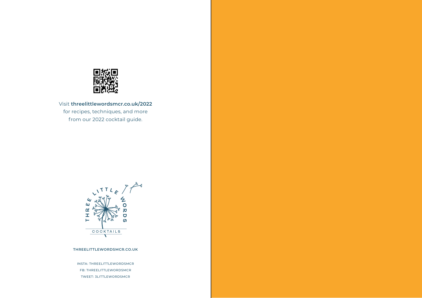

Visit **threelittlewordsmcr.co.uk/2022** for recipes, techniques, and more from our 2022 cocktail guide.



#### **THREELITTLEWORDSMCR.CO.UK**

INSTA: THREELITTLEWORDSMCR FB: THREELITTLEWORDSMCR TWEET: 3LITTLEWORDSMCR